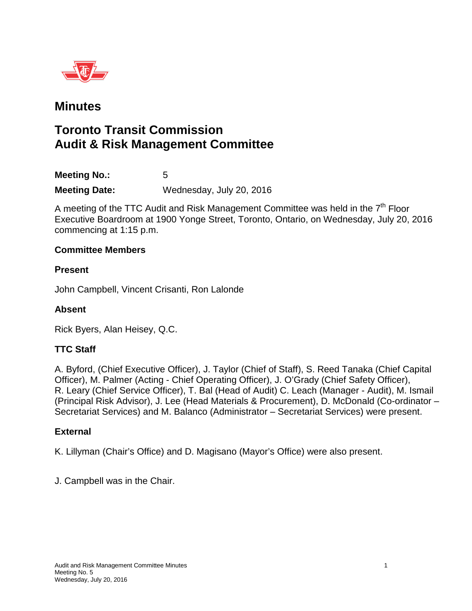

## **Minutes**

# **Toronto Transit Commission Audit & Risk Management Committee**

**Meeting No.:** 5 **Meeting Date:** Wednesday, July 20, 2016

A meeting of the TTC Audit and Risk Management Committee was held in the  $7<sup>th</sup>$  Floor Executive Boardroom at 1900 Yonge Street, Toronto, Ontario, on Wednesday, July 20, 2016 commencing at 1:15 p.m.

#### **Committee Members**

#### **Present**

John Campbell, Vincent Crisanti, Ron Lalonde

### **Absent**

Rick Byers, Alan Heisey, Q.C.

### **TTC Staff**

A. Byford, (Chief Executive Officer), J. Taylor (Chief of Staff), S. Reed Tanaka (Chief Capital Officer), M. Palmer (Acting - Chief Operating Officer), J. O'Grady (Chief Safety Officer), R. Leary (Chief Service Officer), T. Bal (Head of Audit) C. Leach (Manager - Audit), M. Ismail (Principal Risk Advisor), J. Lee (Head Materials & Procurement), D. McDonald (Co-ordinator – Secretariat Services) and M. Balanco (Administrator – Secretariat Services) were present.

### **External**

K. Lillyman (Chair's Office) and D. Magisano (Mayor's Office) were also present.

J. Campbell was in the Chair.